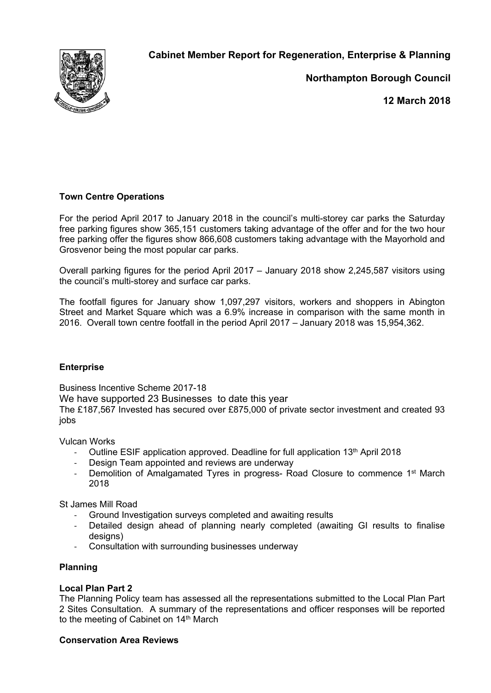

**Cabinet Member Report for Regeneration, Enterprise & Planning**

**Northampton Borough Council**

**12 March 2018**

# **Town Centre Operations**

For the period April 2017 to January 2018 in the council's multi-storey car parks the Saturday free parking figures show 365,151 customers taking advantage of the offer and for the two hour free parking offer the figures show 866,608 customers taking advantage with the Mayorhold and Grosvenor being the most popular car parks.

Overall parking figures for the period April 2017 – January 2018 show 2,245,587 visitors using the council's multi-storey and surface car parks.

The footfall figures for January show 1,097,297 visitors, workers and shoppers in Abington Street and Market Square which was a 6.9% increase in comparison with the same month in 2016. Overall town centre footfall in the period April 2017 – January 2018 was 15,954,362.

### **Enterprise**

Business Incentive Scheme 2017-18

We have supported 23 Businesses to date this year

The £187,567 Invested has secured over £875,000 of private sector investment and created 93 jobs

Vulcan Works

- Outline ESIF application approved. Deadline for full application  $13<sup>th</sup>$  April 2018
- Design Team appointed and reviews are underway
- Demolition of Amalgamated Tyres in progress- Road Closure to commence 1<sup>st</sup> March 2018

St James Mill Road

- Ground Investigation surveys completed and awaiting results
- Detailed design ahead of planning nearly completed (awaiting GI results to finalise designs)
- Consultation with surrounding businesses underway

## **Planning**

## **Local Plan Part 2**

The Planning Policy team has assessed all the representations submitted to the Local Plan Part 2 Sites Consultation. A summary of the representations and officer responses will be reported to the meeting of Cabinet on 14<sup>th</sup> March

### **Conservation Area Reviews**